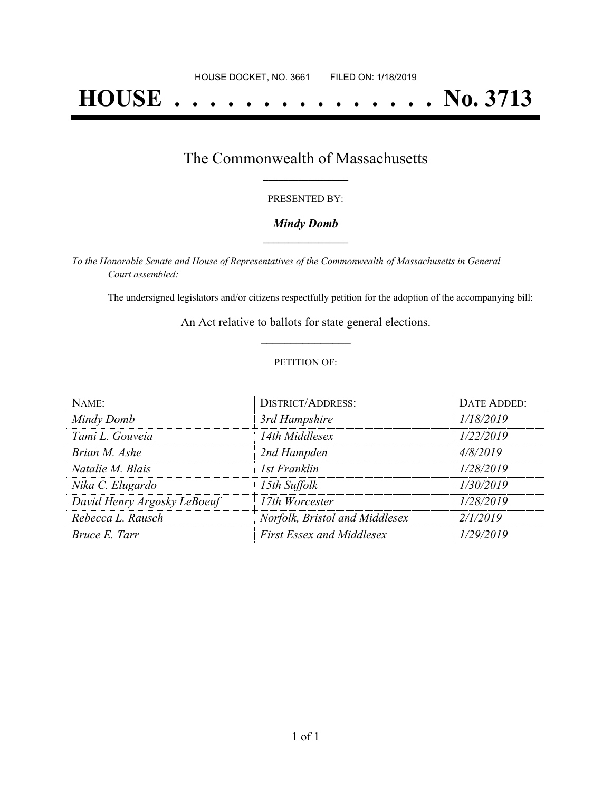# **HOUSE . . . . . . . . . . . . . . . No. 3713**

### The Commonwealth of Massachusetts **\_\_\_\_\_\_\_\_\_\_\_\_\_\_\_\_\_**

#### PRESENTED BY:

#### *Mindy Domb* **\_\_\_\_\_\_\_\_\_\_\_\_\_\_\_\_\_**

*To the Honorable Senate and House of Representatives of the Commonwealth of Massachusetts in General Court assembled:*

The undersigned legislators and/or citizens respectfully petition for the adoption of the accompanying bill:

An Act relative to ballots for state general elections. **\_\_\_\_\_\_\_\_\_\_\_\_\_\_\_**

#### PETITION OF:

| NAME:                       | <b>DISTRICT/ADDRESS:</b>         | DATE ADDED: |
|-----------------------------|----------------------------------|-------------|
| Mindy Domb                  | 3rd Hampshire                    | 1/18/2019   |
| Tami L. Gouveia             | 14th Middlesex                   | 1/22/2019   |
| Brian M. Ashe               | 2nd Hampden                      | 4/8/2019    |
| Natalie M. Blais            | 1st Franklin                     | 1/28/2019   |
| Nika C. Elugardo            | 15th Suffolk                     | 1/30/2019   |
| David Henry Argosky LeBoeuf | 17th Worcester                   | 1/28/2019   |
| Rebecca L. Rausch           | Norfolk, Bristol and Middlesex   | 2/1/2019    |
| Bruce E. Tarr               | <b>First Essex and Middlesex</b> | 1/29/2019   |